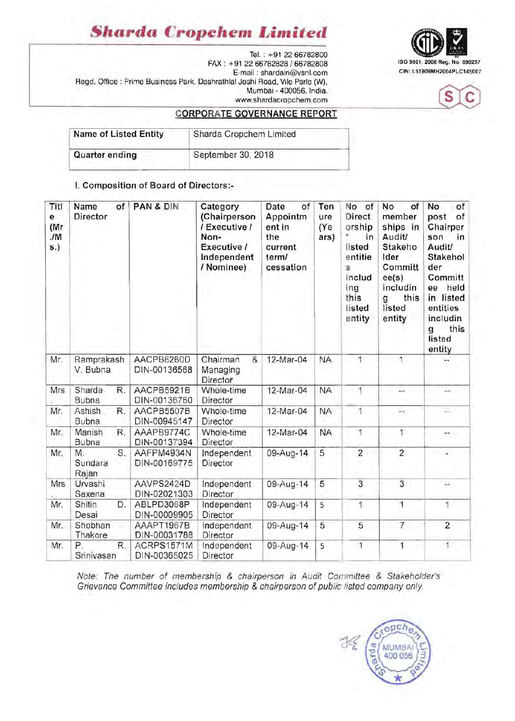### *Sharda* **Cropchem** *Limited*

Tel. : +91 2266782800 ISO 9001: 2008 Reg. No: 690257 FAX: +91 2266782828/66782808 E-mail: shardain@vsnl.com Regd. Office : Prime Business Park, Dashrathlal Joshi Road, Vile Parle (W), Mumbai - 400056, India. www.shardacropchem.com





### CORPORATE GOVERNANCE REPORT

| Name of Listed Entity | Sharda Cropchem Limited |  |  |
|-----------------------|-------------------------|--|--|
| <b>Quarter ending</b> | September 30, 2018      |  |  |

I. Composition of Board of Directors:-

| Titl<br>e<br>(Mr<br>JM<br>s.) | Name<br>of<br>Director       | PAN & DIN                  | Category<br>(Chairperson<br>/ Executive /<br>Non-<br>Executive /<br>Independent<br>/ Nominee) | Date<br>of<br>Appointm<br>ent in<br>the<br>current<br>term/<br>cessation | Ten<br>ure<br>(Ye<br>ars) | No of<br><b>Direct</b><br>orship<br>in<br>listed<br>entitie<br>s<br>includ<br>ing<br>this<br>listed<br>entity | No<br>of<br>member<br>ships in<br>Audit/<br>Stakeho<br>Ider<br>Committ<br>ee(s)<br>includin<br>this<br>g<br>listed<br>entity | No<br>of<br>post<br>of<br>Chairper<br>son<br>in.<br><b>Audit/</b><br>Stakehol<br>der<br>Committ<br>held<br>ee<br>in listed<br>entities<br>includin<br>this<br>g<br>listed<br>entity |
|-------------------------------|------------------------------|----------------------------|-----------------------------------------------------------------------------------------------|--------------------------------------------------------------------------|---------------------------|---------------------------------------------------------------------------------------------------------------|------------------------------------------------------------------------------------------------------------------------------|-------------------------------------------------------------------------------------------------------------------------------------------------------------------------------------|
| Mr.                           | Ramprakash<br>V. Bubna       | AACPB6260D<br>DIN-00136568 | Chairman<br>&<br>Managing<br>Director                                                         | 12-Mar-04                                                                | <b>NA</b>                 | 1                                                                                                             | 1                                                                                                                            |                                                                                                                                                                                     |
| Mrs                           | R.<br>Sharda<br><b>Bubna</b> | AACPB5921B<br>DIN-00136760 | Whole-time<br>Director                                                                        | 12-Mar-04                                                                | <b>NA</b>                 | 1                                                                                                             | 皿                                                                                                                            |                                                                                                                                                                                     |
| Mr.                           | Ashish<br>R.<br>Bubna        | AACPB5507B<br>DIN-00945147 | Whole-time<br>Director                                                                        | 12-Mar-04                                                                | <b>NA</b>                 | 1                                                                                                             | 44                                                                                                                           | $\mathcal{L}_{\mathcal{F}}$                                                                                                                                                         |
| Mr.                           | Manish<br>R.<br>Bubna        | AAAPB9774C<br>DIN-00137394 | Whole-time<br>Director                                                                        | 12-Mar-04                                                                | <b>NA</b>                 | 1                                                                                                             | 1                                                                                                                            | ÷                                                                                                                                                                                   |
| Mr.                           | S.<br>M.<br>Sundara<br>Rajan | AAFPM4934N<br>DIN-00169775 | Independent<br>Director                                                                       | 09-Aug-14                                                                | 5                         | $\overline{2}$                                                                                                | $\overline{2}$                                                                                                               |                                                                                                                                                                                     |
| Mrs                           | Urvashi<br>Saxena            | AAVPS2424D<br>DIN-02021303 | Independent<br>Director                                                                       | 09-Aug-14                                                                | 5                         | $\overline{3}$                                                                                                | $\overline{3}$                                                                                                               | ندبت                                                                                                                                                                                |
| Mr.                           | Shitin<br>D.<br>Desai        | ABLPD3068P<br>DIN-00009905 | Independent<br><b>Director</b>                                                                | 09-Aug-14                                                                | 5                         | $\overline{1}$                                                                                                | $\overline{1}$                                                                                                               | $\overline{1}$                                                                                                                                                                      |
| Mr.                           | Shobhan<br>Thakore           | AAAPT1967B<br>DIN-00031788 | Independent<br>Director                                                                       | 09-Aug-14                                                                | 5                         | $\overline{5}$                                                                                                | $\overline{7}$                                                                                                               | $\overline{2}$                                                                                                                                                                      |
| Mr.                           | P.<br>R.<br>Srinivasan       | ACRPS1571M<br>DIN-00365025 | Independent<br>Director                                                                       | 09-Aug-14                                                                | 5                         | $\overline{1}$                                                                                                | 1                                                                                                                            | 1                                                                                                                                                                                   |

Note: The number of membership & chairperson in Audit Committee & Stakeholder's Grievance Committee includes membership & chairperson of public listed company only.

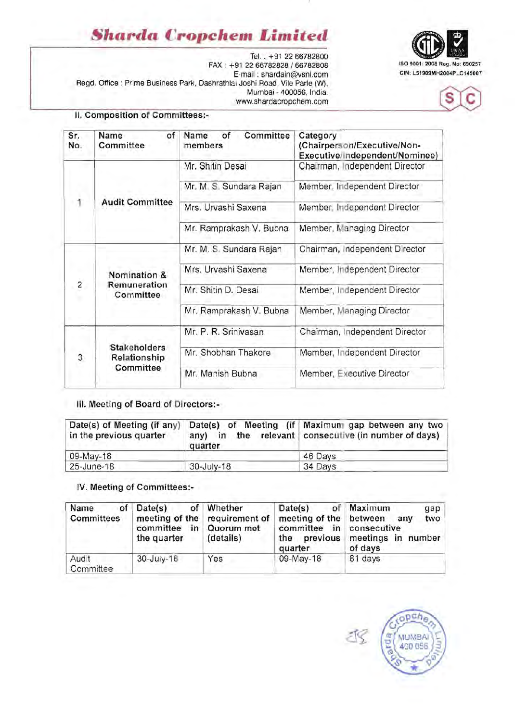# **Sharda Cropchem Limited**

Tel. : +91 2266782800 ISO 9001: 2008 Reg. No: 690257 FAX: +91 2266782828/66782808 E-mail: shardain@vsnl.com cln: L51909MH2004PLC145007 Regd. Office: Prime Business Park, Dashrathlal Joshi Road, Vile Parle (W), Mumbai - 400056, India. www.shardacropchem.com





### II. Composition of Committees:-

| Sr.<br>No.     | Name<br>of<br>Committee             | Committee<br>of<br>Name<br>members | Category<br>(Chairperson/Executive/Non-<br>Executive/Independent/Nominee) |
|----------------|-------------------------------------|------------------------------------|---------------------------------------------------------------------------|
|                |                                     | Mr. Shitin Desai                   | Chairman, Independent Director                                            |
|                |                                     | Mr. M. S. Sundara Rajan            | Member, Independent Director                                              |
| 1              | <b>Audit Committee</b>              | Mrs. Urvashi Saxena                | Member, Independent Director                                              |
|                |                                     | Mr. Ramprakash V. Bubna            | Member, Managing Director                                                 |
|                |                                     | Mr. M. S. Sundara Rajan            | Chairman, Independent Director                                            |
|                | Nomination &                        | Mrs. Urvashi Saxena                | Member, Independent Director                                              |
| $\overline{c}$ | Remuneration<br>Committee           | Mr. Shitin D. Desai                | Member, Independent Director                                              |
|                |                                     | Mr. Ramprakash V. Bubna            | Member, Managing Director                                                 |
|                |                                     | Mr. P. R. Srinivasan               | Chairman, Independent Director                                            |
| 3              | <b>Stakeholders</b><br>Relationship | Mr. Shobhan Thakore                | Member, Independent Director                                              |
|                | Committee                           | Mr. Manish Bubna                   | Member, Executive Director                                                |
|                |                                     |                                    |                                                                           |

### III. Meeting of Board of Directors:-

| Date(s) of Meeting (if any)<br>in the previous quarter | quarter    | Date(s) of Meeting (if Maximum gap between any two<br>any) in the relevant consecutive (in number of days) |
|--------------------------------------------------------|------------|------------------------------------------------------------------------------------------------------------|
| 09-May-18                                              |            | 46 Days                                                                                                    |
| 25-June-18                                             | 30-July-18 | 34 Days                                                                                                    |

#### IV. Meeting of Committees:

| Name<br><b>Committees</b> | of $Date(s)$<br>committee in Quorum met<br>the quarter | of Whether<br>meeting of the requirement of<br>(details) | Date(s)<br>meeting of the between<br>committee in consecutive<br>the previous<br>quarter | of Maximum<br>gap<br>two<br>any<br>meetings in number<br>of days |
|---------------------------|--------------------------------------------------------|----------------------------------------------------------|------------------------------------------------------------------------------------------|------------------------------------------------------------------|
| Audit<br>Committee        | 30-July-18                                             | Yes                                                      | 09-May-18                                                                                | 81 days                                                          |

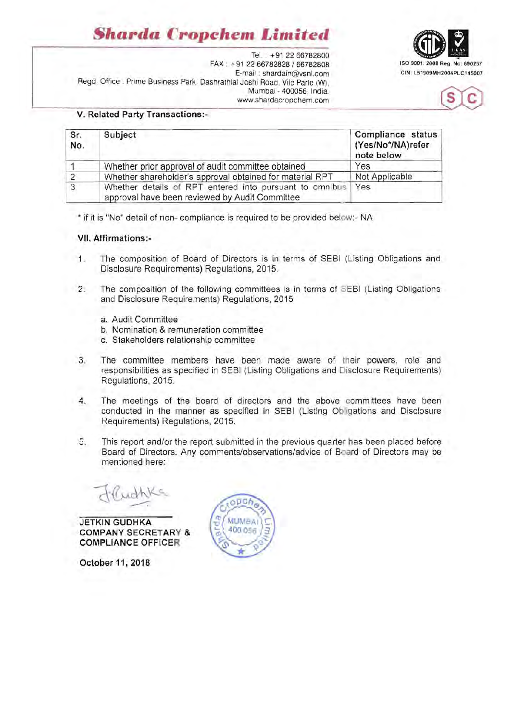# *Sharda* **Cropchem** *Limited*



Tel. • +91 22 66782800 FAX • +91 *2266782828 / 66782808* ISO 9001 : 2008 Reg. No: 690257 E-mail : shardain@vsnl.com Regd. Office : Prime Business Park, Dashrathlal Joshi Road, Vile Parle (W), Mumbai - 400056, India. www.shardacropchem .com



#### V. Related Party Transactions:-

| Sr.<br>No. | Subject                                                                                                   | Compliance status<br>(Yes/No*/NA)refer<br>note below |
|------------|-----------------------------------------------------------------------------------------------------------|------------------------------------------------------|
|            | Whether prior approval of audit committee obtained                                                        | Yes                                                  |
|            | Whether shareholder's approval obtained for material RPT                                                  | Not Applicable                                       |
| 3          | Whether details of RPT entered into pursuant to omnibus<br>approval have been reviewed by Audit Committee | Yes                                                  |

\* if it is "No" detail of non- compliance is required to be provided below:- NA

#### VII. Affirmations:

- 1. The composition of Board of Directors is in terms of SEBI (Listing Obligations and Disclosure Requirements) Regulations, 2015.
- 2. The composition of the following committees is in terms of SEBI (Listing Obligations and Disclosure Requirements) Regulations, 2015
	- a. Audit Committee
	- b. Nomination & remuneration committee
	- c. Stakeholders relationship committee
- 3. The committee members have been made aware of their powers, role and responsibilities as specified in SEBI (Listing Obligations and Disclosure Requirements) Regulations, 2015.
- 4. The meetings of the board of directors and the above committees have been conducted in the manner as specified in SEBI (Listing Obligations and Disclosure Requirements) Regulations, 2015.
- 5. This report and/or the report submitted in the previous quarter has been placed before Board of Directors. Any comments/observations/advice of Board of Directors may be mentioned here:

JETKIN GUDHKA COMPANY SECRETARY & COMPLIANCE OFFICER

October 11, 2018